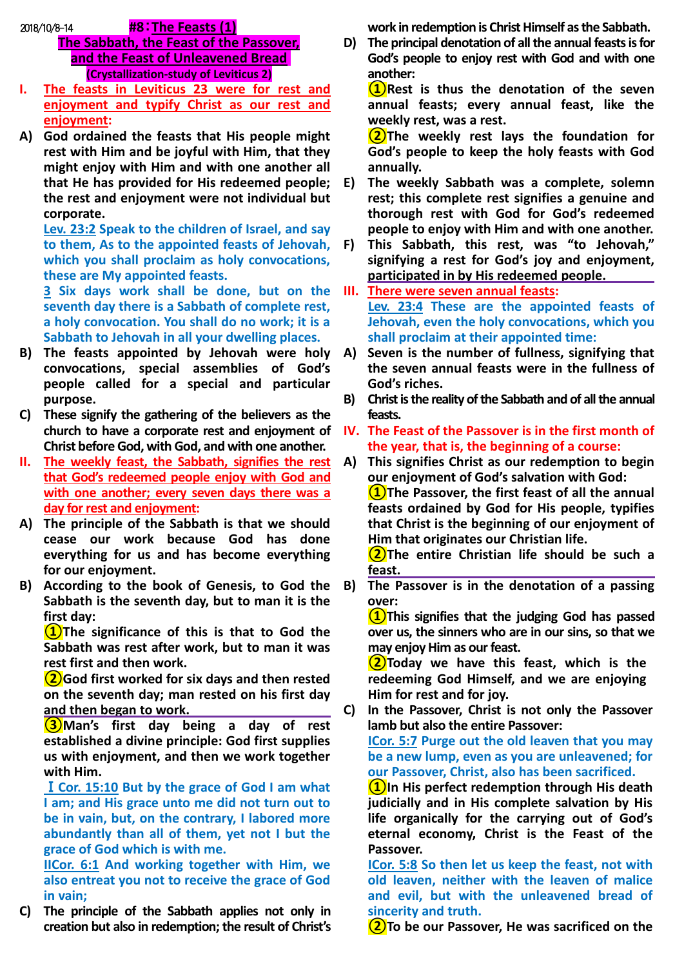2018/10/8-14 **#8**:**The Feasts (1)**

- **The Sabbath, the Feast of the Passover, and the Feast of Unleavened Bread (Crystallization-study of Leviticus 2)**
- **I. The feasts in Leviticus 23 were for rest and enjoyment and typify Christ as our rest and enjoyment:**
- **A) God ordained the feasts that His people might rest with Him and be joyful with Him, that they might enjoy with Him and with one another all that He has provided for His redeemed people; the rest and enjoyment were not individual but corporate.**

**Lev. 23:2 Speak to the children of Israel, and say to them, As to the appointed feasts of Jehovah, which you shall proclaim as holy convocations, these are My appointed feasts.**

**3 Six days work shall be done, but on the seventh day there is a Sabbath of complete rest, a holy convocation. You shall do no work; it is a Sabbath to Jehovah in all your dwelling places.**

- **B) The feasts appointed by Jehovah were holy convocations, special assemblies of God's people called for a special and particular purpose.**
- **C) These signify the gathering of the believers as the church to have a corporate rest and enjoyment of Christ before God, with God, and with one another.**
- **II. The weekly feast, the Sabbath, signifies the rest that God's redeemed people enjoy with God and with one another; every seven days there was a day for rest and enjoyment:**
- **A) The principle of the Sabbath is that we should cease our work because God has done everything for us and has become everything for our enjoyment.**
- **B) According to the book of Genesis, to God the Sabbath is the seventh day, but to man it is the first day:**

**①The significance of this is that to God the Sabbath was rest after work, but to man it was rest first and then work.** 

**②God first worked for six days and then rested on the seventh day; man rested on his first day and then began to work.**

**③Man's first day being a day of rest established a divine principle: God first supplies us with enjoyment, and then we work together with Him.** 

Ⅰ**Cor. 15:10 But by the grace of God I am what I am; and His grace unto me did not turn out to be in vain, but, on the contrary, I labored more abundantly than all of them, yet not I but the grace of God which is with me.**

**IICor. 6:1 And working together with Him, we also entreat you not to receive the grace of God in vain;**

**C) The principle of the Sabbath applies not only in creation but also in redemption; the result of Christ's** 

**work in redemption is Christ Himself as the Sabbath.**

**D) The principal denotation of all the annual feasts is for God's people to enjoy rest with God and with one another:** 

**①Rest is thus the denotation of the seven annual feasts; every annual feast, like the weekly rest, was a rest.** 

**②The weekly rest lays the foundation for God's people to keep the holy feasts with God annually.** 

- **E) The weekly Sabbath was a complete, solemn rest; this complete rest signifies a genuine and thorough rest with God for God's redeemed people to enjoy with Him and with one another.**
- **F) This Sabbath, this rest, was "to Jehovah," signifying a rest for God's joy and enjoyment, participated in by His redeemed people.**
- **III. There were seven annual feasts: Lev. 23:4 These are the appointed feasts of Jehovah, even the holy convocations, which you shall proclaim at their appointed time:**
- **A) Seven is the number of fullness, signifying that the seven annual feasts were in the fullness of God's riches.**
- **B) Christ is the reality of the Sabbath and of all the annual feasts.**
- **IV. The Feast of the Passover is in the first month of the year, that is, the beginning of a course:**
- **A) This signifies Christ as our redemption to begin our enjoyment of God's salvation with God:**

**①The Passover, the first feast of all the annual feasts ordained by God for His people, typifies that Christ is the beginning of our enjoyment of Him that originates our Christian life.**

**②The entire Christian life should be such a feast.**

**B) The Passover is in the denotation of a passing over:**

**①This signifies that the judging God has passed over us, the sinners who are in our sins, so that we may enjoy Him as our feast.** 

**②Today we have this feast, which is the redeeming God Himself, and we are enjoying Him for rest and for joy.** 

**C) In the Passover, Christ is not only the Passover lamb but also the entire Passover:** 

**ICor. 5:7 Purge out the old leaven that you may be a new lump, even as you are unleavened; for our Passover, Christ, also has been sacrificed.**

**①In His perfect redemption through His death judicially and in His complete salvation by His life organically for the carrying out of God's eternal economy, Christ is the Feast of the Passover.** 

**ICor. 5:8 So then let us keep the feast, not with old leaven, neither with the leaven of malice and evil, but with the unleavened bread of sincerity and truth.**

**②To be our Passover, He was sacrificed on the**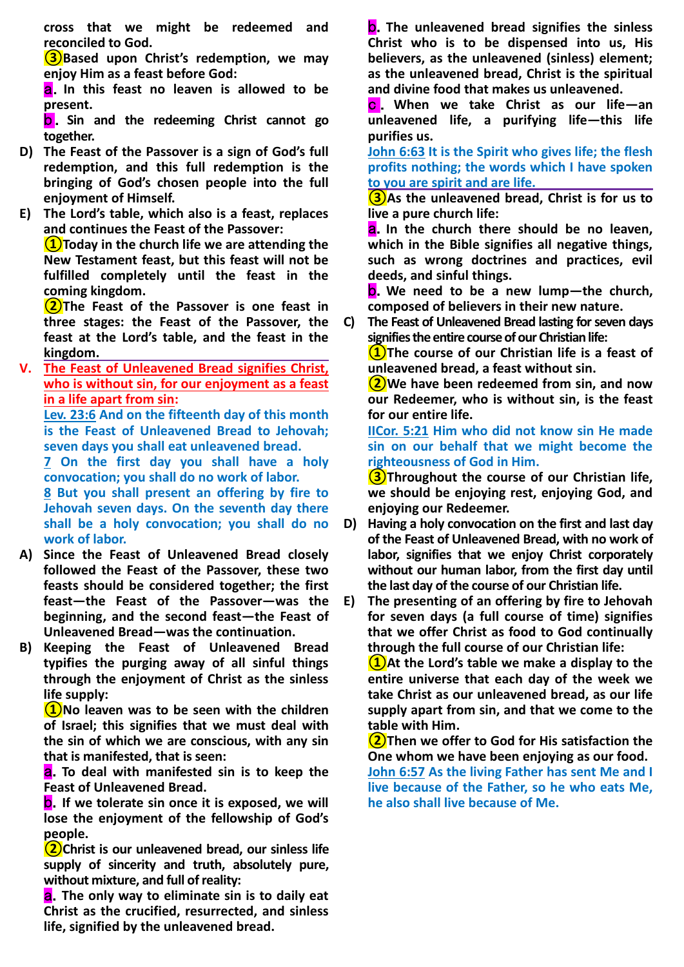**cross that we might be redeemed and reconciled to God.**

**(3)** Based upon Christ's redemption, we may **enjoy Him as a feast before God:**

a.**In this feast no leaven is allowed to be present.**

b . **Sin and the redeeming Christ cannot go together.**

- **D) The Feast of the Passover is a sign of God's full redemption, and this full redemption is the bringing of God's chosen people into the full enjoyment of Himself.**
- **E) The Lord's table, which also is a feast, replaces and continues the Feast of the Passover:**

**①Today in the church life we are attending the New Testament feast, but this feast will not be fulfilled completely until the feast in the coming kingdom.** 

**②The Feast of the Passover is one feast in three stages: the Feast of the Passover, the feast at the Lord's table, and the feast in the kingdom.**

**V. The Feast of Unleavened Bread signifies Christ, who is without sin, for our enjoyment as a feast in a life apart from sin:**

**Lev. 23:6 And on the fifteenth day of this month is the Feast of Unleavened Bread to Jehovah; seven days you shall eat unleavened bread.**

**7 On the first day you shall have a holy convocation; you shall do no work of labor.**

**8 But you shall present an offering by fire to Jehovah seven days. On the seventh day there shall be a holy convocation; you shall do no work of labor.**

- **A) Since the Feast of Unleavened Bread closely followed the Feast of the Passover, these two feasts should be considered together; the first feast—the Feast of the Passover—was the beginning, and the second feast—the Feast of Unleavened Bread—was the continuation.**
- **B) Keeping the Feast of Unleavened Bread typifies the purging away of all sinful things through the enjoyment of Christ as the sinless life supply:**

**①No leaven was to be seen with the children of Israel; this signifies that we must deal with the sin of which we are conscious, with any sin that is manifested, that is seen:** 

a.**To deal with manifested sin is to keep the Feast of Unleavened Bread.**

b.**If we tolerate sin once it is exposed, we will lose the enjoyment of the fellowship of God's people.** 

**②Christ is our unleavened bread, our sinless life supply of sincerity and truth, absolutely pure, without mixture, and full of reality:** 

a.**The only way to eliminate sin is to daily eat Christ as the crucified, resurrected, and sinless life, signified by the unleavened bread.**

b.**The unleavened bread signifies the sinless Christ who is to be dispensed into us, His believers, as the unleavened (sinless) element; as the unleavened bread, Christ is the spiritual and divine food that makes us unleavened.** 

c . **When we take Christ as our life—an unleavened life, a purifying life—this life purifies us.** 

**John 6:63 It is the Spirit who gives life; the flesh profits nothing; the words which I have spoken to you are spirit and are life.**

**③As the unleavened bread, Christ is for us to live a pure church life:**

a.**In the church there should be no leaven, which in the Bible signifies all negative things, such as wrong doctrines and practices, evil deeds, and sinful things.** 

b.**We need to be a new lump—the church, composed of believers in their new nature.**

**C) The Feast of Unleavened Bread lasting for seven days signifies the entire course of our Christian life:**

**①The course of our Christian life is a feast of unleavened bread, a feast without sin.**

**②We have been redeemed from sin, and now our Redeemer, who is without sin, is the feast for our entire life.** 

**IICor. 5:21 Him who did not know sin He made sin on our behalf that we might become the righteousness of God in Him.**

**③Throughout the course of our Christian life, we should be enjoying rest, enjoying God, and enjoying our Redeemer.**

- **D) Having a holy convocation on the first and last day of the Feast of Unleavened Bread, with no work of labor, signifies that we enjoy Christ corporately without our human labor, from the first day until the last day of the course of our Christian life.**
- **E) The presenting of an offering by fire to Jehovah for seven days (a full course of time) signifies that we offer Christ as food to God continually through the full course of our Christian life:**

**①At the Lord's table we make a display to the entire universe that each day of the week we take Christ as our unleavened bread, as our life supply apart from sin, and that we come to the table with Him.**

**②Then we offer to God for His satisfaction the One whom we have been enjoying as our food. John 6:57 As the living Father has sent Me and I live because of the Father, so he who eats Me, he also shall live because of Me.**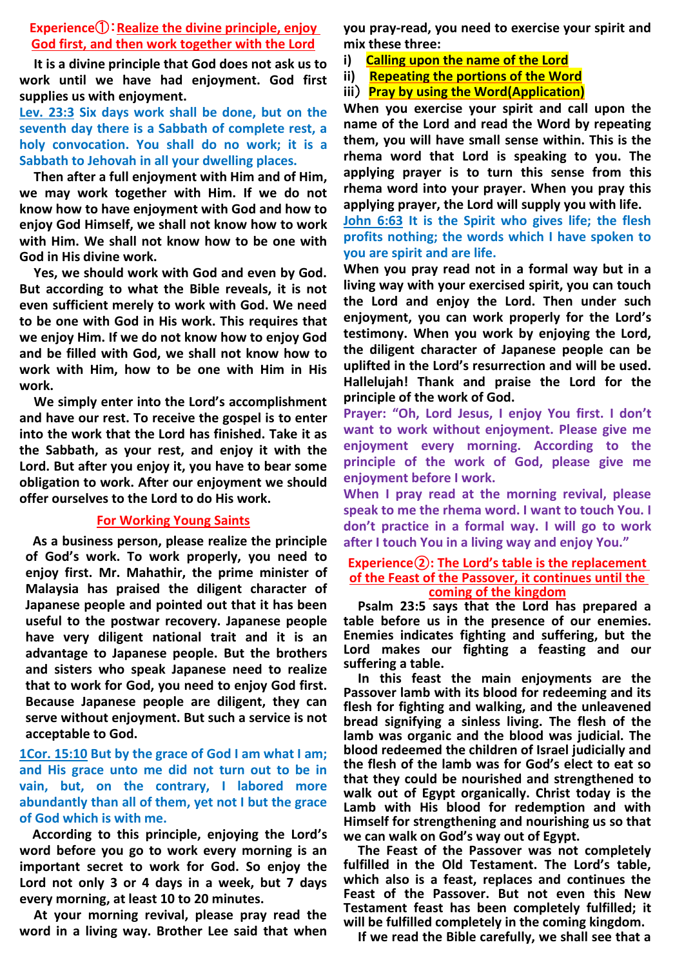### **Experience**①:**Realize the divine principle, enjoy God first, and then work together with the Lord**

**It is a divine principle that God does not ask us to work until we have had enjoyment. God first supplies us with enjoyment.** 

**Lev. 23:3 Six days work shall be done, but on the seventh day there is a Sabbath of complete rest, a holy convocation. You shall do no work; it is a Sabbath to Jehovah in all your dwelling places.**

**Then after a full enjoyment with Him and of Him, we may work together with Him. If we do not know how to have enjoyment with God and how to enjoy God Himself, we shall not know how to work with Him. We shall not know how to be one with God in His divine work.** 

**Yes, we should work with God and even by God. But according to what the Bible reveals, it is not even sufficient merely to work with God. We need to be one with God in His work. This requires that we enjoy Him. If we do not know how to enjoy God and be filled with God, we shall not know how to work with Him, how to be one with Him in His work.** 

**We simply enter into the Lord's accomplishment and have our rest. To receive the gospel is to enter into the work that the Lord has finished. Take it as the Sabbath, as your rest, and enjoy it with the Lord. But after you enjoy it, you have to bear some obligation to work. After our enjoyment we should offer ourselves to the Lord to do His work.**

## **For Working Young Saints**

**As a business person, please realize the principle of God's work. To work properly, you need to enjoy first. Mr. Mahathir, the prime minister of Malaysia has praised the diligent character of Japanese people and pointed out that it has been useful to the postwar recovery. Japanese people have very diligent national trait and it is an advantage to Japanese people. But the brothers and sisters who speak Japanese need to realize that to work for God, you need to enjoy God first. Because Japanese people are diligent, they can serve without enjoyment. But such a service is not acceptable to God.**

**1Cor. 15:10 But by the grace of God I am what I am; and His grace unto me did not turn out to be in vain, but, on the contrary, I labored more abundantly than all of them, yet not I but the grace of God which is with me.**

**According to this principle, enjoying the Lord's word before you go to work every morning is an important secret to work for God. So enjoy the Lord not only 3 or 4 days in a week, but 7 days every morning, at least 10 to 20 minutes.**

**At your morning revival, please pray read the word in a living way. Brother Lee said that when**  **you pray-read, you need to exercise your spirit and mix these three:**

- **i) Calling upon the name of the Lord**
- **ii) Repeating the portions of the Word**
- **iii**) **Pray by using the Word(Application)**

**When you exercise your spirit and call upon the name of the Lord and read the Word by repeating them, you will have small sense within. This is the rhema word that Lord is speaking to you. The applying prayer is to turn this sense from this rhema word into your prayer. When you pray this applying prayer, the Lord will supply you with life.**

**John 6:63 It is the Spirit who gives life; the flesh profits nothing; the words which I have spoken to you are spirit and are life.**

**When you pray read not in a formal way but in a living way with your exercised spirit, you can touch the Lord and enjoy the Lord. Then under such enjoyment, you can work properly for the Lord's testimony. When you work by enjoying the Lord, the diligent character of Japanese people can be uplifted in the Lord's resurrection and will be used. Hallelujah! Thank and praise the Lord for the principle of the work of God.**

**Prayer: "Oh, Lord Jesus, I enjoy You first. I don't want to work without enjoyment. Please give me enjoyment every morning. According to the principle of the work of God, please give me enjoyment before I work.** 

**When I pray read at the morning revival, please speak to me the rhema word. I want to touch You. I don't practice in a formal way. I will go to work after I touch You in a living way and enjoy You."**

#### **Experience②: The Lord's table is the replacement of the Feast of the Passover, it continues until the coming of the kingdom**

**Psalm 23:5 says that the Lord has prepared a table before us in the presence of our enemies. Enemies indicates fighting and suffering, but the Lord makes our fighting a feasting and our suffering a table.**

**In this feast the main enjoyments are the Passover lamb with its blood for redeeming and its flesh for fighting and walking, and the unleavened bread signifying a sinless living. The flesh of the lamb was organic and the blood was judicial. The blood redeemed the children of Israel judicially and the flesh of the lamb was for God's elect to eat so that they could be nourished and strengthened to walk out of Egypt organically. Christ today is the Lamb with His blood for redemption and with Himself for strengthening and nourishing us so that we can walk on God's way out of Egypt.**

**The Feast of the Passover was not completely fulfilled in the Old Testament. The Lord's table, which also is a feast, replaces and continues the Feast of the Passover. But not even this New Testament feast has been completely fulfilled; it will be fulfilled completely in the coming kingdom.**

**If we read the Bible carefully, we shall see that a**